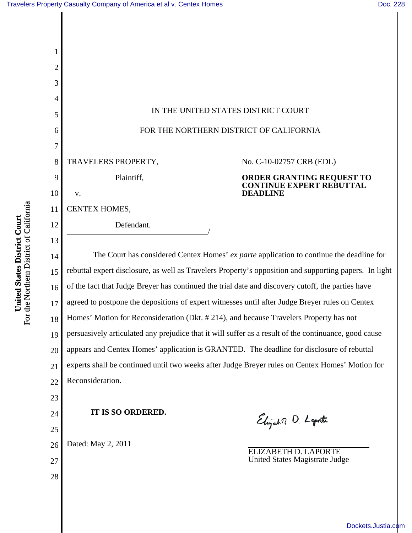**United States District Court** For the Northern District of California

**United States District Court**<br>For the Northern District of California

| 1              |                                                                                                        |
|----------------|--------------------------------------------------------------------------------------------------------|
| $\overline{2}$ |                                                                                                        |
| 3              |                                                                                                        |
| 4              |                                                                                                        |
| 5              | IN THE UNITED STATES DISTRICT COURT                                                                    |
| 6              | FOR THE NORTHERN DISTRICT OF CALIFORNIA                                                                |
| 7              |                                                                                                        |
| 8              | TRAVELERS PROPERTY,<br>No. C-10-02757 CRB (EDL)                                                        |
| 9              | Plaintiff,<br>ORDER GRANTING REQUEST TO<br>CONTINUE EXPERT REBUTTAL                                    |
| 10             | <b>DEADLINE</b><br>V.                                                                                  |
| 11             | CENTEX HOMES,                                                                                          |
| 12             | Defendant.                                                                                             |
| 13             |                                                                                                        |
| 14             | The Court has considered Centex Homes' ex parte application to continue the deadline for               |
| 15             | rebuttal expert disclosure, as well as Travelers Property's opposition and supporting papers. In light |
| 16             | of the fact that Judge Breyer has continued the trial date and discovery cutoff, the parties have      |
| 17             | agreed to postpone the depositions of expert witnesses until after Judge Breyer rules on Centex        |
| 18             | Homes' Motion for Reconsideration (Dkt. #214), and because Travelers Property has not                  |
| 19             | persuasively articulated any prejudice that it will suffer as a result of the continuance, good cause  |
| 20             | appears and Centex Homes' application is GRANTED. The deadline for disclosure of rebuttal              |
| 21             | experts shall be continued until two weeks after Judge Breyer rules on Centex Homes' Motion for        |
| 22             | Reconsideration.                                                                                       |
| 23             |                                                                                                        |
| 24             | IT IS SO ORDERED.<br>Elijah D. Laporte                                                                 |
| 25             |                                                                                                        |
| 26             | Dated: May 2, 2011<br>ELIZABETH D. LAPORTE                                                             |
| 27             | United States Magistrate Judge                                                                         |
| 28             |                                                                                                        |
|                |                                                                                                        |

[Dockets.Justia.com](http://dockets.justia.com/)